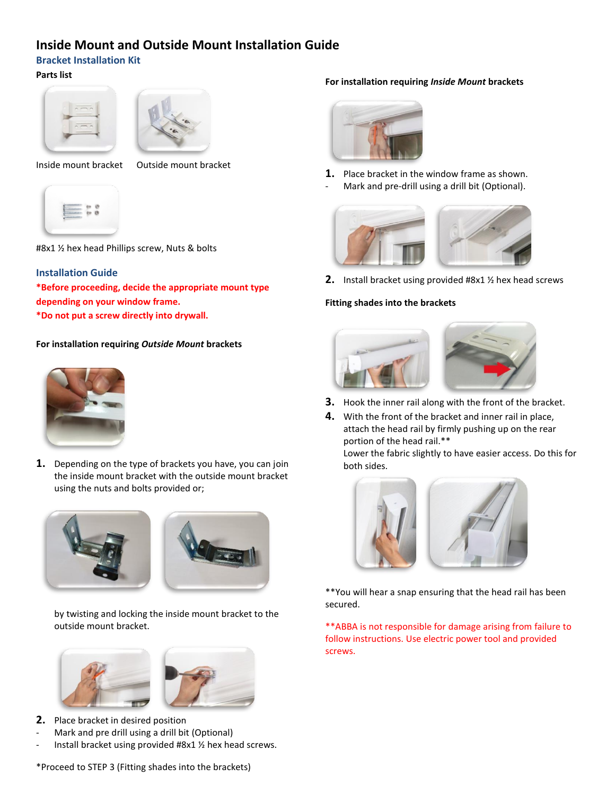## **Inside Mount and Outside Mount Installation Guide**

## **Bracket Installation Kit**

### **Parts list**





Inside mount bracket Outside mount bracket



#8x1 ½ hex head Phillips screw, Nuts & bolts

## **Installation Guide**

**\*Before proceeding, decide the appropriate mount type depending on your window frame. \*Do not put a screw directly into drywall.**

## **For installation requiring** *Outside Mount* **brackets**



**1.** Depending on the type of brackets you have, you can join the inside mount bracket with the outside mount bracket using the nuts and bolts provided or;







- **2.** Place bracket in desired position
- Mark and pre drill using a drill bit (Optional)
- Install bracket using provided #8x1  $\frac{1}{2}$  hex head screws.

#### **For installation requiring** *Inside Mount* **brackets**



**1.** Place bracket in the window frame as shown. Mark and pre-drill using a drill bit (Optional).



**2.** Install bracket using provided #8x1 ½ hex head screws

#### **Fitting shades into the brackets**



- **3.** Hook the inner rail along with the front of the bracket.
- **4.** With the front of the bracket and inner rail in place, attach the head rail by firmly pushing up on the rear portion of the head rail.\*\*

Lower the fabric slightly to have easier access. Do this for both sides.



\*\*You will hear a snap ensuring that the head rail has been secured.

\*\*ABBA is not responsible for damage arising from failure to follow instructions. Use electric power tool and provided screws.

\*Proceed to STEP 3 (Fitting shades into the brackets)